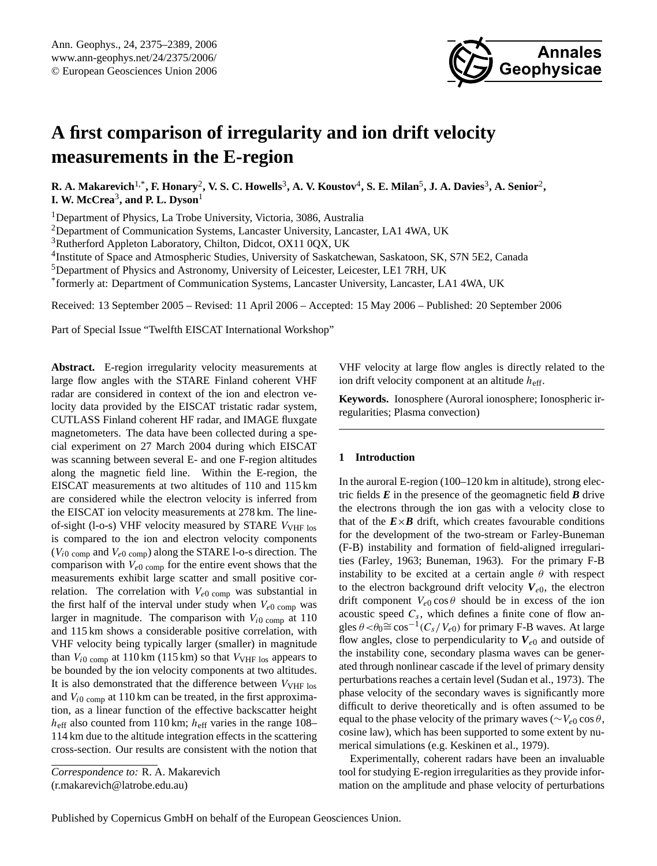

# **A first comparison of irregularity and ion drift velocity measurements in the E-region**

 $R$ . A. Makarevich<sup>1,\*</sup>, F. Honary<sup>2</sup>, V. S. C. Howells<sup>3</sup>, A. V. Koustov<sup>4</sup>, S. E. Milan<sup>5</sup>, J. A. Davies<sup>3</sup>, A. Senior<sup>2</sup>, **I. W. McCrea**<sup>3</sup> **, and P. L. Dyson**<sup>1</sup>

<sup>1</sup>Department of Physics, La Trobe University, Victoria, 3086, Australia

<sup>2</sup>Department of Communication Systems, Lancaster University, Lancaster, LA1 4WA, UK

<sup>3</sup>Rutherford Appleton Laboratory, Chilton, Didcot, OX11 0QX, UK

<sup>4</sup>Institute of Space and Atmospheric Studies, University of Saskatchewan, Saskatoon, SK, S7N 5E2, Canada

<sup>5</sup>Department of Physics and Astronomy, University of Leicester, Leicester, LE1 7RH, UK

\* formerly at: Department of Communication Systems, Lancaster University, Lancaster, LA1 4WA, UK

Received: 13 September 2005 – Revised: 11 April 2006 – Accepted: 15 May 2006 – Published: 20 September 2006

Part of Special Issue "Twelfth EISCAT International Workshop"

**Abstract.** E-region irregularity velocity measurements at large flow angles with the STARE Finland coherent VHF radar are considered in context of the ion and electron velocity data provided by the EISCAT tristatic radar system, CUTLASS Finland coherent HF radar, and IMAGE fluxgate magnetometers. The data have been collected during a special experiment on 27 March 2004 during which EISCAT was scanning between several E- and one F-region altitudes along the magnetic field line. Within the E-region, the EISCAT measurements at two altitudes of 110 and 115 km are considered while the electron velocity is inferred from the EISCAT ion velocity measurements at 278 km. The lineof-sight (l-o-s) VHF velocity measured by STARE V<sub>VHF los</sub> is compared to the ion and electron velocity components  $(V_{i0 \text{ comp}}$  and  $V_{e0 \text{ comp}}$ ) along the STARE l-o-s direction. The comparison with  $V_{e0}$  comp for the entire event shows that the measurements exhibit large scatter and small positive correlation. The correlation with  $V_{e0}$  comp was substantial in the first half of the interval under study when  $V_{e0}$  comp was larger in magnitude. The comparison with  $V_{i0 \text{ comp}}$  at 110 and 115 km shows a considerable positive correlation, with VHF velocity being typically larger (smaller) in magnitude than  $V_{i0 \text{ comp}}$  at 110 km (115 km) so that  $V_{VHF}$  los appears to be bounded by the ion velocity components at two altitudes. It is also demonstrated that the difference between  $V_{\text{VHF}}$  los and  $V_{i0 \text{ comp}}$  at 110 km can be treated, in the first approximation, as a linear function of the effective backscatter height  $h_{\text{eff}}$  also counted from 110 km;  $h_{\text{eff}}$  varies in the range 108– 114 km due to the altitude integration effects in the scattering cross-section. Our results are consistent with the notion that

<span id="page-0-0"></span>*Correspondence to:* R. A. Makarevich (r.makarevich@latrobe.edu.au)

VHF velocity at large flow angles is directly related to the ion drift velocity component at an altitude  $h_{\text{eff}}$ .

**Keywords.** Ionosphere (Auroral ionosphere; Ionospheric irregularities; Plasma convection)

# **1 Introduction**

In the auroral E-region (100–120 km in altitude), strong electric fields *E* in the presence of the geomagnetic field *B* drive the electrons through the ion gas with a velocity close to that of the  $E \times B$  drift, which creates favourable conditions for the development of the two-stream or Farley-Buneman (F-B) instability and formation of field-aligned irregularities [\(Farley,](#page-13-0) [1963;](#page-13-0) [Buneman,](#page-13-1) [1963\)](#page-13-1). For the primary F-B instability to be excited at a certain angle  $\theta$  with respect to the electron background drift velocity  $V_{e0}$ , the electron drift component  $V_{e0}$  cos  $\theta$  should be in excess of the ion acoustic speed  $C_s$ , which defines a finite cone of flow angles  $\theta < \theta_0 \cong \cos^{-1}(C_s/V_{e0})$  for primary F-B waves. At large flow angles, close to perpendicularity to  $V_{e0}$  and outside of the instability cone, secondary plasma waves can be generated through nonlinear cascade if the level of primary density perturbations reaches a certain level [\(Sudan et al.,](#page-14-0) [1973\)](#page-14-0). The phase velocity of the secondary waves is significantly more difficult to derive theoretically and is often assumed to be equal to the phase velocity of the primary waves ( $\sim V_{e0} \cos \theta$ , cosine law), which has been supported to some extent by numerical simulations (e.g. [Keskinen et al.,](#page-13-2) [1979\)](#page-13-2).

Experimentally, coherent radars have been an invaluable tool for studying E-region irregularities as they provide information on the amplitude and phase velocity of perturbations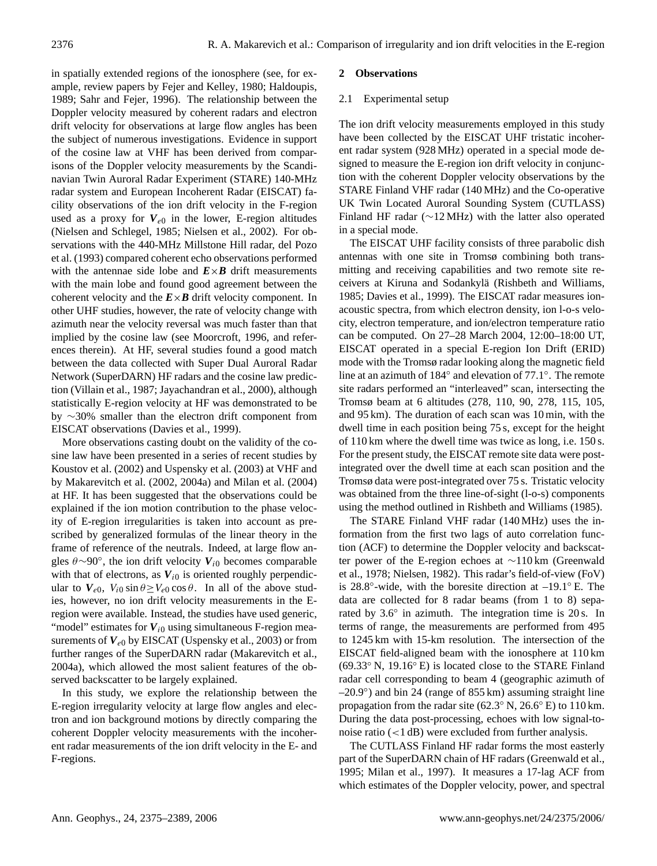in spatially extended regions of the ionosphere (see, for example, review papers by [Fejer and Kelley,](#page-13-3) [1980;](#page-13-3) [Haldoupis,](#page-13-4) [1989;](#page-13-4) [Sahr and Fejer,](#page-14-1) [1996\)](#page-14-1). The relationship between the Doppler velocity measured by coherent radars and electron drift velocity for observations at large flow angles has been the subject of numerous investigations. Evidence in support of the cosine law at VHF has been derived from comparisons of the Doppler velocity measurements by the Scandinavian Twin Auroral Radar Experiment (STARE) 140-MHz radar system and European Incoherent Radar (EISCAT) facility observations of the ion drift velocity in the F-region used as a proxy for  $V_{e0}$  in the lower, E-region altitudes [\(Nielsen and Schlegel,](#page-14-2) [1985;](#page-14-2) [Nielsen et al.,](#page-14-3) [2002\)](#page-14-3). For observations with the 440-MHz Millstone Hill radar, [del Pozo](#page-13-5) [et al.](#page-13-5) [\(1993\)](#page-13-5) compared coherent echo observations performed with the antennae side lobe and  $E \times B$  drift measurements with the main lobe and found good agreement between the coherent velocity and the  $E \times B$  drift velocity component. In other UHF studies, however, the rate of velocity change with azimuth near the velocity reversal was much faster than that implied by the cosine law (see [Moorcroft,](#page-14-4) [1996,](#page-14-4) and references therein). At HF, several studies found a good match between the data collected with Super Dual Auroral Radar Network (SuperDARN) HF radars and the cosine law prediction [\(Villain et al.,](#page-14-5) [1987;](#page-14-5) [Jayachandran et al.,](#page-13-6) [2000\)](#page-13-6), although statistically E-region velocity at HF was demonstrated to be by ∼30% smaller than the electron drift component from EISCAT observations [\(Davies et al.,](#page-13-7) [1999\)](#page-13-7).

More observations casting doubt on the validity of the cosine law have been presented in a series of recent studies by [Koustov et al.](#page-14-6) [\(2002\)](#page-14-6) and [Uspensky et al.](#page-14-7) [\(2003\)](#page-14-7) at VHF and by [Makarevitch et al.](#page-14-8) [\(2002,](#page-14-8) [2004a\)](#page-14-9) and [Milan et al.](#page-14-10) [\(2004\)](#page-14-10) at HF. It has been suggested that the observations could be explained if the ion motion contribution to the phase velocity of E-region irregularities is taken into account as prescribed by generalized formulas of the linear theory in the frame of reference of the neutrals. Indeed, at large flow angles θ∼90◦ , the ion drift velocity *V*i<sup>0</sup> becomes comparable with that of electrons, as  $V_{i0}$  is oriented roughly perpendicular to  $V_{e0}$ ,  $V_{i0} \sin \theta \ge V_{e0} \cos \theta$ . In all of the above studies, however, no ion drift velocity measurements in the Eregion were available. Instead, the studies have used generic, "model" estimates for  $V_{i0}$  using simultaneous F-region measurements of  $V_{e0}$  by EISCAT [\(Uspensky et al.,](#page-14-7) [2003\)](#page-14-7) or from further ranges of the SuperDARN radar [\(Makarevitch et al.,](#page-14-9) [2004a\)](#page-14-9), which allowed the most salient features of the observed backscatter to be largely explained.

In this study, we explore the relationship between the E-region irregularity velocity at large flow angles and electron and ion background motions by directly comparing the coherent Doppler velocity measurements with the incoherent radar measurements of the ion drift velocity in the E- and F-regions.

# **2 Observations**

## 2.1 Experimental setup

The ion drift velocity measurements employed in this study have been collected by the EISCAT UHF tristatic incoherent radar system (928 MHz) operated in a special mode designed to measure the E-region ion drift velocity in conjunction with the coherent Doppler velocity observations by the STARE Finland VHF radar (140 MHz) and the Co-operative UK Twin Located Auroral Sounding System (CUTLASS) Finland HF radar (∼12 MHz) with the latter also operated in a special mode.

The EISCAT UHF facility consists of three parabolic dish antennas with one site in Tromsø combining both transmitting and receiving capabilities and two remote site re-ceivers at Kiruna and Sodankylä ([Rishbeth and Williams,](#page-14-11) [1985;](#page-14-11) [Davies et al.,](#page-13-7) [1999\)](#page-13-7). The EISCAT radar measures ionacoustic spectra, from which electron density, ion l-o-s velocity, electron temperature, and ion/electron temperature ratio can be computed. On 27–28 March 2004, 12:00–18:00 UT, EISCAT operated in a special E-region Ion Drift (ERID) mode with the Tromsø radar looking along the magnetic field line at an azimuth of 184◦ and elevation of 77.1◦ . The remote site radars performed an "interleaved" scan, intersecting the Tromsø beam at 6 altitudes (278, 110, 90, 278, 115, 105, and 95 km). The duration of each scan was 10 min, with the dwell time in each position being 75 s, except for the height of 110 km where the dwell time was twice as long, i.e. 150 s. For the present study, the EISCAT remote site data were postintegrated over the dwell time at each scan position and the Tromsø data were post-integrated over 75 s. Tristatic velocity was obtained from the three line-of-sight (l-o-s) components using the method outlined in [Rishbeth and Williams](#page-14-11) [\(1985\)](#page-14-11).

The STARE Finland VHF radar (140 MHz) uses the information from the first two lags of auto correlation function (ACF) to determine the Doppler velocity and backscatter power of the E-region echoes at ∼110 km [\(Greenwald](#page-13-8) [et al.,](#page-13-8) [1978;](#page-13-8) [Nielsen,](#page-14-12) [1982\)](#page-14-12). This radar's field-of-view (FoV) is 28.8 $\degree$ -wide, with the boresite direction at  $-19.1\degree$  E. The data are collected for 8 radar beams (from 1 to 8) separated by 3.6° in azimuth. The integration time is 20 s. In terms of range, the measurements are performed from 495 to 1245 km with 15-km resolution. The intersection of the EISCAT field-aligned beam with the ionosphere at 110 km (69.33◦ N, 19.16◦ E) is located close to the STARE Finland radar cell corresponding to beam 4 (geographic azimuth of –20.9◦ ) and bin 24 (range of 855 km) assuming straight line propagation from the radar site ( $62.3°$  N,  $26.6°$  E) to  $110 \text{ km}$ . During the data post-processing, echoes with low signal-tonoise ratio (<1 dB) were excluded from further analysis.

The CUTLASS Finland HF radar forms the most easterly part of the SuperDARN chain of HF radars [\(Greenwald et al.,](#page-13-9) [1995;](#page-13-9) [Milan et al.,](#page-14-13) [1997\)](#page-14-13). It measures a 17-lag ACF from which estimates of the Doppler velocity, power, and spectral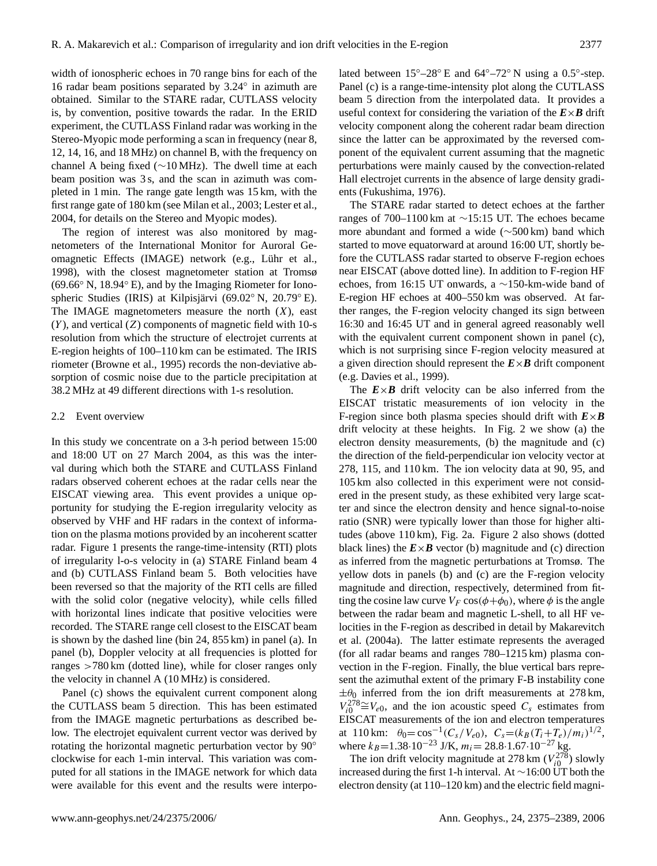width of ionospheric echoes in 70 range bins for each of the 16 radar beam positions separated by 3.24◦ in azimuth are obtained. Similar to the STARE radar, CUTLASS velocity is, by convention, positive towards the radar. In the ERID experiment, the CUTLASS Finland radar was working in the Stereo-Myopic mode performing a scan in frequency (near 8, 12, 14, 16, and 18 MHz) on channel B, with the frequency on channel A being fixed (∼10 MHz). The dwell time at each beam position was 3 s, and the scan in azimuth was completed in 1 min. The range gate length was 15 km, with the first range gate of 180 km (see [Milan et al.,](#page-14-14) [2003;](#page-14-14) [Lester et al.,](#page-14-15) [2004,](#page-14-15) for details on the Stereo and Myopic modes).

The region of interest was also monitored by magnetometers of the International Monitor for Auroral Geomagnetic Effects (IMAGE) network (e.g., Lühr et al., [1998\)](#page-14-16), with the closest magnetometer station at Tromsø (69.66◦ N, 18.94◦ E), and by the Imaging Riometer for Ionospheric Studies (IRIS) at Kilpisjärvi (69.02° N, 20.79° E). The IMAGE magnetometers measure the north  $(X)$ , east  $(Y)$ , and vertical  $(Z)$  components of magnetic field with 10-s resolution from which the structure of electrojet currents at E-region heights of 100–110 km can be estimated. The IRIS riometer [\(Browne et al.,](#page-13-10) [1995\)](#page-13-10) records the non-deviative absorption of cosmic noise due to the particle precipitation at 38.2 MHz at 49 different directions with 1-s resolution.

#### 2.2 Event overview

In this study we concentrate on a 3-h period between 15:00 and 18:00 UT on 27 March 2004, as this was the interval during which both the STARE and CUTLASS Finland radars observed coherent echoes at the radar cells near the EISCAT viewing area. This event provides a unique opportunity for studying the E-region irregularity velocity as observed by VHF and HF radars in the context of information on the plasma motions provided by an incoherent scatter radar. Figure [1](#page-3-0) presents the range-time-intensity (RTI) plots of irregularity l-o-s velocity in (a) STARE Finland beam 4 and (b) CUTLASS Finland beam 5. Both velocities have been reversed so that the majority of the RTI cells are filled with the solid color (negative velocity), while cells filled with horizontal lines indicate that positive velocities were recorded. The STARE range cell closest to the EISCAT beam is shown by the dashed line (bin 24, 855 km) in panel (a). In panel (b), Doppler velocity at all frequencies is plotted for ranges >780 km (dotted line), while for closer ranges only the velocity in channel A (10 MHz) is considered.

Panel (c) shows the equivalent current component along the CUTLASS beam 5 direction. This has been estimated from the IMAGE magnetic perturbations as described below. The electrojet equivalent current vector was derived by rotating the horizontal magnetic perturbation vector by 90◦ clockwise for each 1-min interval. This variation was computed for all stations in the IMAGE network for which data were available for this event and the results were interpo-

lated between 15°-28° E and 64°-72° N using a 0.5°-step. Panel (c) is a range-time-intensity plot along the CUTLASS beam 5 direction from the interpolated data. It provides a useful context for considering the variation of the  $E \times B$  drift velocity component along the coherent radar beam direction since the latter can be approximated by the reversed component of the equivalent current assuming that the magnetic perturbations were mainly caused by the convection-related Hall electrojet currents in the absence of large density gradients [\(Fukushima,](#page-13-11) [1976\)](#page-13-11).

The STARE radar started to detect echoes at the farther ranges of 700–1100 km at ∼15:15 UT. The echoes became more abundant and formed a wide (∼500 km) band which started to move equatorward at around 16:00 UT, shortly before the CUTLASS radar started to observe F-region echoes near EISCAT (above dotted line). In addition to F-region HF echoes, from 16:15 UT onwards, a ∼150-km-wide band of E-region HF echoes at 400–550 km was observed. At farther ranges, the F-region velocity changed its sign between 16:30 and 16:45 UT and in general agreed reasonably well with the equivalent current component shown in panel (c), which is not surprising since F-region velocity measured at a given direction should represent the  $E \times B$  drift component (e.g. [Davies et al.,](#page-13-7) [1999\)](#page-13-7).

The  $E \times B$  drift velocity can be also inferred from the EISCAT tristatic measurements of ion velocity in the F-region since both plasma species should drift with  $E \times B$ drift velocity at these heights. In Fig. [2](#page-4-0) we show (a) the electron density measurements, (b) the magnitude and (c) the direction of the field-perpendicular ion velocity vector at 278, 115, and 110 km. The ion velocity data at 90, 95, and 105 km also collected in this experiment were not considered in the present study, as these exhibited very large scatter and since the electron density and hence signal-to-noise ratio (SNR) were typically lower than those for higher altitudes (above 110 km), Fig. [2a](#page-4-0). Figure [2](#page-4-0) also shows (dotted black lines) the  $E \times B$  vector (b) magnitude and (c) direction as inferred from the magnetic perturbations at Tromsø. The yellow dots in panels (b) and (c) are the F-region velocity magnitude and direction, respectively, determined from fitting the cosine law curve  $V_F \cos(\phi + \phi_0)$ , where  $\phi$  is the angle between the radar beam and magnetic L-shell, to all HF velocities in the F-region as described in detail by [Makarevitch](#page-14-9) [et al.](#page-14-9) [\(2004a\)](#page-14-9). The latter estimate represents the averaged (for all radar beams and ranges 780–1215 km) plasma convection in the F-region. Finally, the blue vertical bars represent the azimuthal extent of the primary F-B instability cone  $\pm\theta_0$  inferred from the ion drift measurements at 278 km,  $V_{i0}^{278} \cong V_{e0}$ , and the ion acoustic speed  $C_s$  estimates from EISCAT measurements of the ion and electron temperatures at 110 km:  $\theta_0 = \cos^{-1}(C_s/V_{e0}), C_s = (k_B(T_i+T_e)/m_i)^{1/2},$ where  $k_B$ =1.38·10<sup>-23</sup> J/K,  $m_i$  = 28.8·1.67·10<sup>-27</sup> kg.

The ion drift velocity magnitude at 278 km  $(V_{i0}^{278})$  slowly increased during the first 1-h interval. At ∼16:00 UT both the electron density (at 110–120 km) and the electric field magni-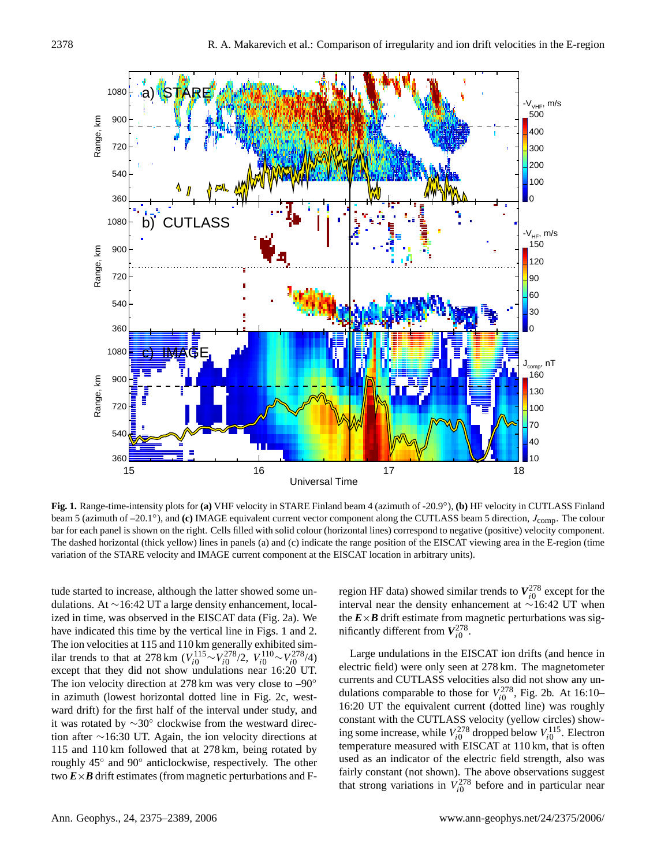

<span id="page-3-0"></span>**Fig. 1.** Range-time-intensity plots for **(a)** VHF velocity in STARE Finland beam 4 (azimuth of -20.9◦ ), **(b)** HF velocity in CUTLASS Finland beam 5 (azimuth of –20.1<sup>°</sup>), and **(c)** IMAGE equivalent current vector component along the CUTLASS beam 5 direction, J<sub>comp</sub>. The colour bar for each panel is shown on the right. Cells filled with solid colour (horizontal lines) correspond to negative (positive) velocity component. The dashed horizontal (thick yellow) lines in panels (a) and (c) indicate the range position of the EISCAT viewing area in the E-region (time variation of the STARE velocity and IMAGE current component at the EISCAT location in arbitrary units).

tude started to increase, although the latter showed some undulations. At ∼16:42 UT a large density enhancement, localized in time, was observed in the EISCAT data (Fig. [2a](#page-4-0)). We have indicated this time by the vertical line in Figs. [1](#page-3-0) and [2.](#page-4-0) The ion velocities at 115 and 110 km generally exhibited similar trends to that at 278 km  $(V_{i0}^{115} \sim V_{i0}^{278}/2, V_{i0}^{110} \sim V_{i0}^{278}/4)$ except that they did not show undulations near 16:20 UT. The ion velocity direction at 278 km was very close to –90◦ in azimuth (lowest horizontal dotted line in Fig. [2c](#page-4-0), westward drift) for the first half of the interval under study, and it was rotated by ∼30◦ clockwise from the westward direction after ∼16:30 UT. Again, the ion velocity directions at 115 and 110 km followed that at 278 km, being rotated by roughly 45◦ and 90◦ anticlockwise, respectively. The other two  $\vec{E} \times \vec{B}$  drift estimates (from magnetic perturbations and F-

region HF data) showed similar trends to  $V_{i0}^{278}$  except for the interval near the density enhancement at ∼16:42 UT when the  $E \times B$  drift estimate from magnetic perturbations was significantly different from  $V_{i0}^{278}$ .

Large undulations in the EISCAT ion drifts (and hence in electric field) were only seen at 278 km. The magnetometer currents and CUTLASS velocities also did not show any undulations comparable to those for  $V_{i0}^{278}$ , Fig. [2b](#page-4-0). At 16:10– 16:20 UT the equivalent current (dotted line) was roughly constant with the CUTLASS velocity (yellow circles) showing some increase, while  $V_{i0}^{278}$  dropped below  $V_{i0}^{115}$ . Electron temperature measured with EISCAT at 110 km, that is often used as an indicator of the electric field strength, also was fairly constant (not shown). The above observations suggest that strong variations in  $V_{i0}^{278}$  before and in particular near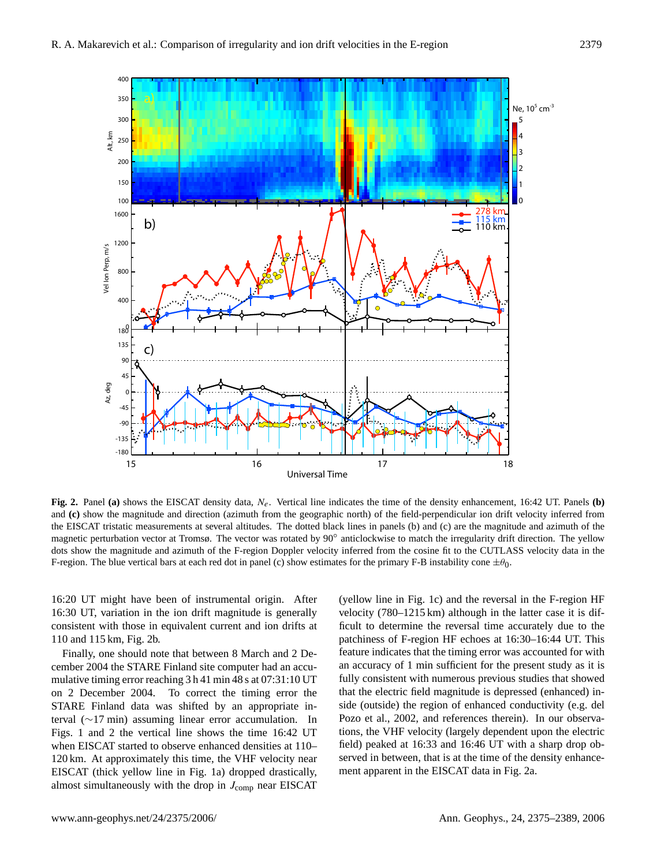

<span id="page-4-0"></span>**Fig. 2.** Panel (a) shows the EISCAT density data,  $N_e$ . Vertical line indicates the time of the density enhancement, 16:42 UT. Panels (b) and **(c)** show the magnitude and direction (azimuth from the geographic north) of the field-perpendicular ion drift velocity inferred from the EISCAT tristatic measurements at several altitudes. The dotted black lines in panels (b) and (c) are the magnitude and azimuth of the magnetic perturbation vector at Tromsø. The vector was rotated by 90° anticlockwise to match the irregularity drift direction. The yellow dots show the magnitude and azimuth of the F-region Doppler velocity inferred from the cosine fit to the CUTLASS velocity data in the F-region. The blue vertical bars at each red dot in panel (c) show estimates for the primary F-B instability cone  $\pm\theta_0$ .

16:20 UT might have been of instrumental origin. After 16:30 UT, variation in the ion drift magnitude is generally consistent with those in equivalent current and ion drifts at 110 and 115 km, Fig. [2b](#page-4-0).

Finally, one should note that between 8 March and 2 December 2004 the STARE Finland site computer had an accumulative timing error reaching 3 h 41 min 48 s at 07:31:10 UT on 2 December 2004. To correct the timing error the STARE Finland data was shifted by an appropriate interval (∼17 min) assuming linear error accumulation. In Figs. [1](#page-3-0) and [2](#page-4-0) the vertical line shows the time 16:42 UT when EISCAT started to observe enhanced densities at 110– 120 km. At approximately this time, the VHF velocity near EISCAT (thick yellow line in Fig. [1a](#page-3-0)) dropped drastically, almost simultaneously with the drop in  $J_{\text{comp}}$  near EISCAT

(yellow line in Fig. [1c](#page-3-0)) and the reversal in the F-region HF velocity (780–1215 km) although in the latter case it is difficult to determine the reversal time accurately due to the patchiness of F-region HF echoes at 16:30–16:44 UT. This feature indicates that the timing error was accounted for with an accuracy of 1 min sufficient for the present study as it is fully consistent with numerous previous studies that showed that the electric field magnitude is depressed (enhanced) inside (outside) the region of enhanced conductivity (e.g. [del](#page-13-12) [Pozo et al.,](#page-13-12) [2002,](#page-13-12) and references therein). In our observations, the VHF velocity (largely dependent upon the electric field) peaked at 16:33 and 16:46 UT with a sharp drop observed in between, that is at the time of the density enhancement apparent in the EISCAT data in Fig. [2a](#page-4-0).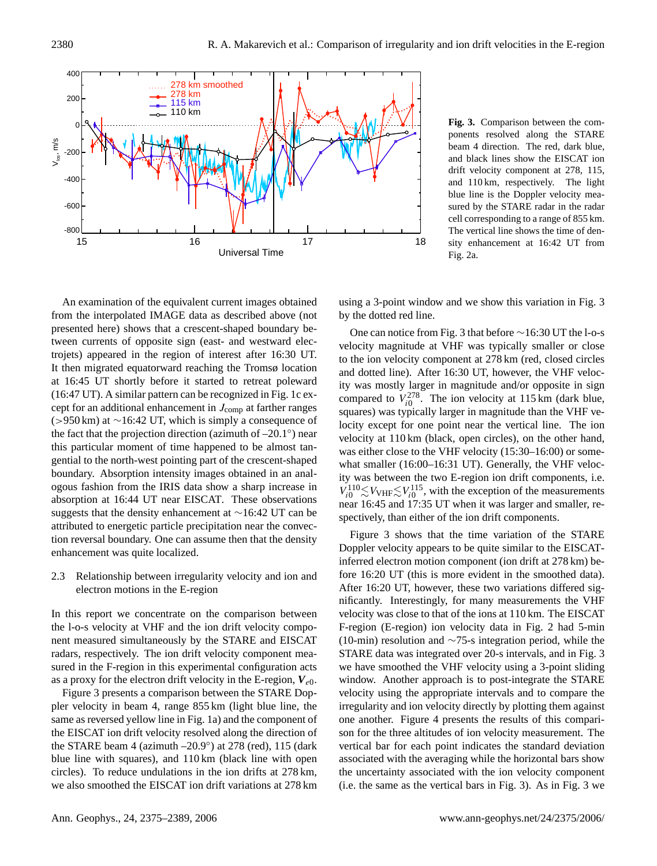

<span id="page-5-0"></span>**Fig. 3.** Comparison between the components resolved along the STARE beam 4 direction. The red, dark blue, and black lines show the EISCAT ion drift velocity component at 278, 115, and 110 km, respectively. The light blue line is the Doppler velocity measured by the STARE radar in the radar cell corresponding to a range of 855 km. The vertical line shows the time of density enhancement at 16:42 UT from Fig. [2a](#page-4-0).

An examination of the equivalent current images obtained from the interpolated IMAGE data as described above (not presented here) shows that a crescent-shaped boundary between currents of opposite sign (east- and westward electrojets) appeared in the region of interest after 16:30 UT. It then migrated equatorward reaching the Tromsø location at 16:45 UT shortly before it started to retreat poleward (16:47 UT). A similar pattern can be recognized in Fig. [1c](#page-3-0) except for an additional enhancement in  $J_{\text{comp}}$  at farther ranges (>950 km) at ∼16:42 UT, which is simply a consequence of the fact that the projection direction (azimuth of  $-20.1°$ ) near this particular moment of time happened to be almost tangential to the north-west pointing part of the crescent-shaped boundary. Absorption intensity images obtained in an analogous fashion from the IRIS data show a sharp increase in absorption at 16:44 UT near EISCAT. These observations suggests that the density enhancement at ∼16:42 UT can be attributed to energetic particle precipitation near the convection reversal boundary. One can assume then that the density enhancement was quite localized.

2.3 Relationship between irregularity velocity and ion and electron motions in the E-region

In this report we concentrate on the comparison between the l-o-s velocity at VHF and the ion drift velocity component measured simultaneously by the STARE and EISCAT radars, respectively. The ion drift velocity component measured in the F-region in this experimental configuration acts as a proxy for the electron drift velocity in the E-region,  $V_{e0}$ .

Figure [3](#page-5-0) presents a comparison between the STARE Doppler velocity in beam 4, range 855 km (light blue line, the same as reversed yellow line in Fig. [1a](#page-3-0)) and the component of the EISCAT ion drift velocity resolved along the direction of the STARE beam 4 (azimuth –20.9◦ ) at 278 (red), 115 (dark blue line with squares), and 110 km (black line with open circles). To reduce undulations in the ion drifts at 278 km, we also smoothed the EISCAT ion drift variations at 278 km using a 3-point window and we show this variation in Fig. [3](#page-5-0) by the dotted red line.

One can notice from Fig. [3](#page-5-0) that before ∼16:30 UT the l-o-s velocity magnitude at VHF was typically smaller or close to the ion velocity component at 278 km (red, closed circles and dotted line). After 16:30 UT, however, the VHF velocity was mostly larger in magnitude and/or opposite in sign compared to  $V_{i0}^{278}$ . The ion velocity at 115 km (dark blue, squares) was typically larger in magnitude than the VHF velocity except for one point near the vertical line. The ion velocity at 110 km (black, open circles), on the other hand, was either close to the VHF velocity (15:30–16:00) or somewhat smaller (16:00–16:31 UT). Generally, the VHF velocity was between the two E-region ion drift components, i.e.  $V_{i0}^{110} \lesssim V_{\text{VHF}} \lesssim V_{i0}^{115}$ , with the exception of the measurements near 16:45 and 17:35 UT when it was larger and smaller, respectively, than either of the ion drift components.

Figure [3](#page-5-0) shows that the time variation of the STARE Doppler velocity appears to be quite similar to the EISCATinferred electron motion component (ion drift at 278 km) before 16:20 UT (this is more evident in the smoothed data). After 16:20 UT, however, these two variations differed significantly. Interestingly, for many measurements the VHF velocity was close to that of the ions at 110 km. The EISCAT F-region (E-region) ion velocity data in Fig. [2](#page-4-0) had 5-min (10-min) resolution and ∼75-s integration period, while the STARE data was integrated over 20-s intervals, and in Fig. [3](#page-5-0) we have smoothed the VHF velocity using a 3-point sliding window. Another approach is to post-integrate the STARE velocity using the appropriate intervals and to compare the irregularity and ion velocity directly by plotting them against one another. Figure [4](#page-6-0) presents the results of this comparison for the three altitudes of ion velocity measurement. The vertical bar for each point indicates the standard deviation associated with the averaging while the horizontal bars show the uncertainty associated with the ion velocity component (i.e. the same as the vertical bars in Fig. [3\)](#page-5-0). As in Fig. [3](#page-5-0) we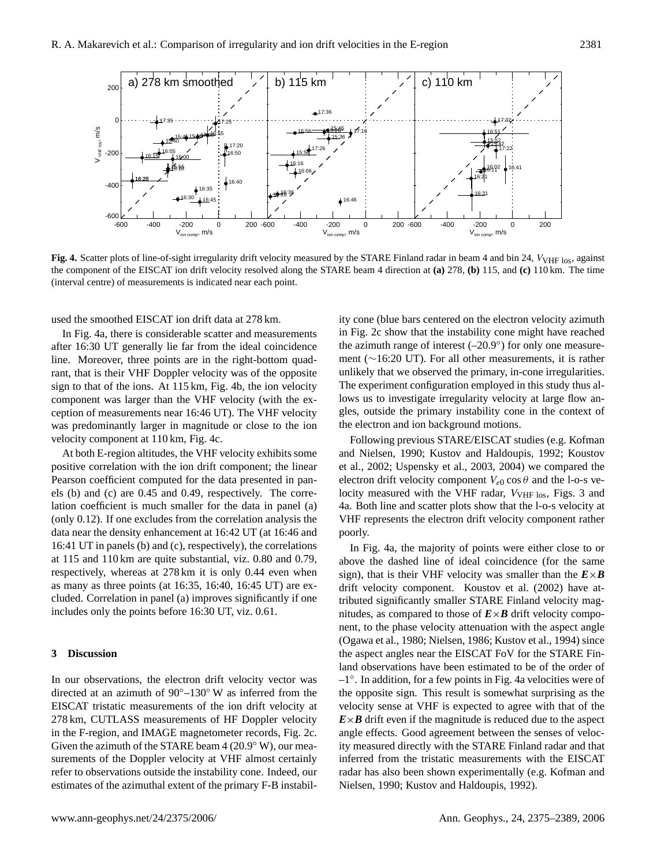

<span id="page-6-0"></span>**Fig. 4.** Scatter plots of line-of-sight irregularity drift velocity measured by the STARE Finland radar in beam 4 and bin 24,  $V_{VHF \text{ los}}$ , against the component of the EISCAT ion drift velocity resolved along the STARE beam 4 direction at **(a)** 278, **(b)** 115, and **(c)** 110 km. The time (interval centre) of measurements is indicated near each point.

used the smoothed EISCAT ion drift data at 278 km.

In Fig. [4a](#page-6-0), there is considerable scatter and measurements after 16:30 UT generally lie far from the ideal coincidence line. Moreover, three points are in the right-bottom quadrant, that is their VHF Doppler velocity was of the opposite sign to that of the ions. At 115 km, Fig. [4b](#page-6-0), the ion velocity component was larger than the VHF velocity (with the exception of measurements near 16:46 UT). The VHF velocity was predominantly larger in magnitude or close to the ion velocity component at 110 km, Fig. [4c](#page-6-0).

At both E-region altitudes, the VHF velocity exhibits some positive correlation with the ion drift component; the linear Pearson coefficient computed for the data presented in panels (b) and (c) are 0.45 and 0.49, respectively. The correlation coefficient is much smaller for the data in panel (a) (only 0.12). If one excludes from the correlation analysis the data near the density enhancement at 16:42 UT (at 16:46 and 16:41 UT in panels (b) and (c), respectively), the correlations at 115 and 110 km are quite substantial, viz. 0.80 and 0.79, respectively, whereas at 278 km it is only 0.44 even when as many as three points (at 16:35, 16:40, 16:45 UT) are excluded. Correlation in panel (a) improves significantly if one includes only the points before 16:30 UT, viz. 0.61.

#### **3 Discussion**

In our observations, the electron drift velocity vector was directed at an azimuth of 90◦–130◦ W as inferred from the EISCAT tristatic measurements of the ion drift velocity at 278 km, CUTLASS measurements of HF Doppler velocity in the F-region, and IMAGE magnetometer records, Fig. [2c](#page-4-0). Given the azimuth of the STARE beam  $4(20.9° \text{ W})$ , our measurements of the Doppler velocity at VHF almost certainly refer to observations outside the instability cone. Indeed, our estimates of the azimuthal extent of the primary F-B instability cone (blue bars centered on the electron velocity azimuth in Fig. [2c](#page-4-0) show that the instability cone might have reached the azimuth range of interest  $(-20.9°)$  for only one measurement (∼16:20 UT). For all other measurements, it is rather unlikely that we observed the primary, in-cone irregularities. The experiment configuration employed in this study thus allows us to investigate irregularity velocity at large flow angles, outside the primary instability cone in the context of the electron and ion background motions.

Following previous STARE/EISCAT studies (e.g. [Kofman](#page-13-13) [and Nielsen,](#page-13-13) [1990;](#page-13-13) [Kustov and Haldoupis,](#page-14-17) [1992;](#page-14-17) [Koustov](#page-14-6) [et al.,](#page-14-6) [2002;](#page-14-6) [Uspensky et al.,](#page-14-7) [2003,](#page-14-7) [2004\)](#page-14-18) we compared the electron drift velocity component  $V_{e0}$  cos  $\theta$  and the l-o-s velocity measured with the VHF radar,  $V_{VHF\,los}$ , Figs. [3](#page-5-0) and [4a](#page-6-0). Both line and scatter plots show that the l-o-s velocity at VHF represents the electron drift velocity component rather poorly.

In Fig. [4a](#page-6-0), the majority of points were either close to or above the dashed line of ideal coincidence (for the same sign), that is their VHF velocity was smaller than the  $E \times B$ drift velocity component. [Koustov et al.](#page-14-6) [\(2002\)](#page-14-6) have attributed significantly smaller STARE Finland velocity magnitudes, as compared to those of  $E \times B$  drift velocity component, to the phase velocity attenuation with the aspect angle [\(Ogawa et al.,](#page-14-19) [1980;](#page-14-19) [Nielsen,](#page-14-20) [1986;](#page-14-20) [Kustov et al.,](#page-14-21) [1994\)](#page-14-21) since the aspect angles near the EISCAT FoV for the STARE Finland observations have been estimated to be of the order of –1◦ . In addition, for a few points in Fig. [4a](#page-6-0) velocities were of the opposite sign. This result is somewhat surprising as the velocity sense at VHF is expected to agree with that of the  $E \times B$  drift even if the magnitude is reduced due to the aspect angle effects. Good agreement between the senses of velocity measured directly with the STARE Finland radar and that inferred from the tristatic measurements with the EISCAT radar has also been shown experimentally (e.g. [Kofman and](#page-13-13) [Nielsen,](#page-13-13) [1990;](#page-13-13) [Kustov and Haldoupis,](#page-14-17) [1992\)](#page-14-17).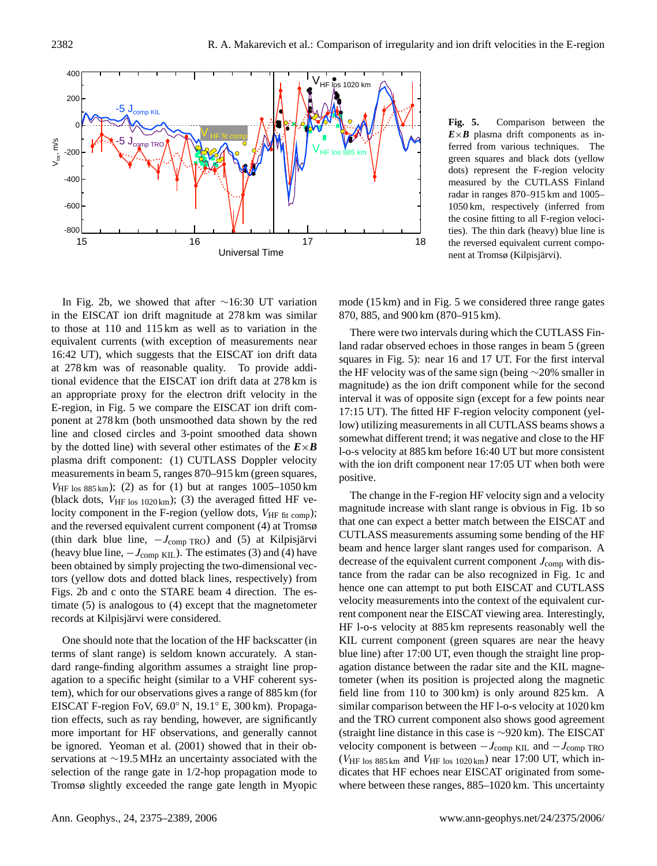

<span id="page-7-0"></span>**Fig. 5.** Comparison between the  $E \times B$  plasma drift components as inferred from various techniques. The green squares and black dots (yellow dots) represent the F-region velocity measured by the CUTLASS Finland radar in ranges 870–915 km and 1005– 1050 km, respectively (inferred from the cosine fitting to all F-region velocities). The thin dark (heavy) blue line is the reversed equivalent current component at Tromsø (Kilpisjärvi).

In Fig. [2b](#page-4-0), we showed that after ∼16:30 UT variation in the EISCAT ion drift magnitude at 278 km was similar to those at 110 and 115 km as well as to variation in the equivalent currents (with exception of measurements near 16:42 UT), which suggests that the EISCAT ion drift data at 278 km was of reasonable quality. To provide additional evidence that the EISCAT ion drift data at 278 km is an appropriate proxy for the electron drift velocity in the E-region, in Fig. [5](#page-7-0) we compare the EISCAT ion drift component at 278 km (both unsmoothed data shown by the red line and closed circles and 3-point smoothed data shown by the dotted line) with several other estimates of the  $E \times B$ plasma drift component: (1) CUTLASS Doppler velocity measurements in beam 5, ranges 870–915 km (green squares,  $V_{\text{HF} \text{los } 885 \text{ km}}$ ; (2) as for (1) but at ranges 1005–1050 km (black dots,  $V_{\text{HF}}$  los 1020 km); (3) the averaged fitted HF velocity component in the F-region (yellow dots,  $V_{\text{HF fit comp}}$ ); and the reversed equivalent current component (4) at Tromsø (thin dark blue line,  $-J_{\text{comp TRO}}$ ) and (5) at Kilpisjärvi (heavy blue line,  $-J_{\text{comp KIL}}$ ). The estimates (3) and (4) have been obtained by simply projecting the two-dimensional vectors (yellow dots and dotted black lines, respectively) from Figs. [2b](#page-4-0) and c onto the STARE beam 4 direction. The estimate (5) is analogous to (4) except that the magnetometer records at Kilpisjärvi were considered.

One should note that the location of the HF backscatter (in terms of slant range) is seldom known accurately. A standard range-finding algorithm assumes a straight line propagation to a specific height (similar to a VHF coherent system), which for our observations gives a range of 885 km (for EISCAT F-region FoV, 69.0◦ N, 19.1◦ E, 300 km). Propagation effects, such as ray bending, however, are significantly more important for HF observations, and generally cannot be ignored. [Yeoman et al.](#page-14-22) [\(2001\)](#page-14-22) showed that in their observations at ∼19.5 MHz an uncertainty associated with the selection of the range gate in 1/2-hop propagation mode to Tromsø slightly exceeded the range gate length in Myopic mode (15 km) and in Fig. [5](#page-7-0) we considered three range gates 870, 885, and 900 km (870–915 km).

There were two intervals during which the CUTLASS Finland radar observed echoes in those ranges in beam 5 (green squares in Fig. [5\)](#page-7-0): near 16 and 17 UT. For the first interval the HF velocity was of the same sign (being ∼20% smaller in magnitude) as the ion drift component while for the second interval it was of opposite sign (except for a few points near 17:15 UT). The fitted HF F-region velocity component (yellow) utilizing measurements in all CUTLASS beams shows a somewhat different trend; it was negative and close to the HF l-o-s velocity at 885 km before 16:40 UT but more consistent with the ion drift component near 17:05 UT when both were positive.

The change in the F-region HF velocity sign and a velocity magnitude increase with slant range is obvious in Fig. [1b](#page-3-0) so that one can expect a better match between the EISCAT and CUTLASS measurements assuming some bending of the HF beam and hence larger slant ranges used for comparison. A decrease of the equivalent current component  $J_{\rm comp}$  with distance from the radar can be also recognized in Fig. [1c](#page-3-0) and hence one can attempt to put both EISCAT and CUTLASS velocity measurements into the context of the equivalent current component near the EISCAT viewing area. Interestingly, HF l-o-s velocity at 885 km represents reasonably well the KIL current component (green squares are near the heavy blue line) after 17:00 UT, even though the straight line propagation distance between the radar site and the KIL magnetometer (when its position is projected along the magnetic field line from 110 to 300 km) is only around 825 km. A similar comparison between the HF l-o-s velocity at 1020 km and the TRO current component also shows good agreement (straight line distance in this case is ∼920 km). The EISCAT velocity component is between  $-J_{\text{comp KIL}}$  and  $-J_{\text{comp TRO}}$ ( $V_{\text{HF}}$  los 885 km and  $V_{\text{HF}}$  los 1020 km) near 17:00 UT, which indicates that HF echoes near EISCAT originated from somewhere between these ranges, 885–1020 km. This uncertainty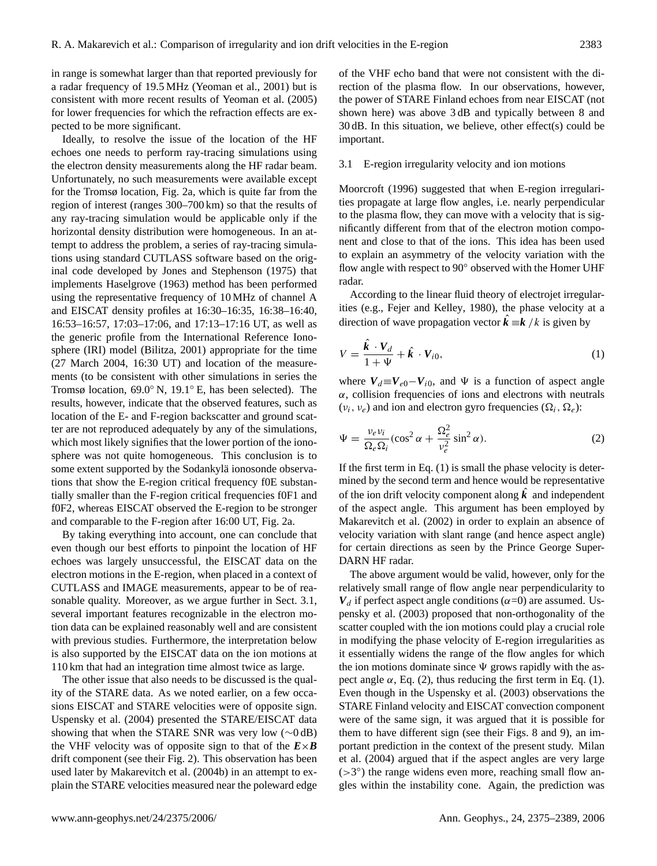in range is somewhat larger than that reported previously for a radar frequency of 19.5 MHz [\(Yeoman et al.,](#page-14-22) [2001\)](#page-14-22) but is consistent with more recent results of [Yeoman et al.](#page-14-23) [\(2005\)](#page-14-23) for lower frequencies for which the refraction effects are expected to be more significant.

Ideally, to resolve the issue of the location of the HF echoes one needs to perform ray-tracing simulations using the electron density measurements along the HF radar beam. Unfortunately, no such measurements were available except for the Tromsø location, Fig. [2a](#page-4-0), which is quite far from the region of interest (ranges 300–700 km) so that the results of any ray-tracing simulation would be applicable only if the horizontal density distribution were homogeneous. In an attempt to address the problem, a series of ray-tracing simulations using standard CUTLASS software based on the original code developed by [Jones and Stephenson](#page-13-14) [\(1975\)](#page-13-14) that implements [Haselgrove](#page-13-15) [\(1963\)](#page-13-15) method has been performed using the representative frequency of 10 MHz of channel A and EISCAT density profiles at 16:30–16:35, 16:38–16:40, 16:53–16:57, 17:03–17:06, and 17:13–17:16 UT, as well as the generic profile from the International Reference Ionosphere (IRI) model [\(Bilitza,](#page-13-16) [2001\)](#page-13-16) appropriate for the time (27 March 2004, 16:30 UT) and location of the measurements (to be consistent with other simulations in series the Tromsø location, 69.0◦ N, 19.1◦ E, has been selected). The results, however, indicate that the observed features, such as location of the E- and F-region backscatter and ground scatter are not reproduced adequately by any of the simulations, which most likely signifies that the lower portion of the ionosphere was not quite homogeneous. This conclusion is to some extent supported by the Sodankylä ionosonde observations that show the E-region critical frequency f0E substantially smaller than the F-region critical frequencies f0F1 and f0F2, whereas EISCAT observed the E-region to be stronger and comparable to the F-region after 16:00 UT, Fig. [2a](#page-4-0).

By taking everything into account, one can conclude that even though our best efforts to pinpoint the location of HF echoes was largely unsuccessful, the EISCAT data on the electron motions in the E-region, when placed in a context of CUTLASS and IMAGE measurements, appear to be of reasonable quality. Moreover, as we argue further in Sect. [3.1,](#page-8-0) several important features recognizable in the electron motion data can be explained reasonably well and are consistent with previous studies. Furthermore, the interpretation below is also supported by the EISCAT data on the ion motions at 110 km that had an integration time almost twice as large.

The other issue that also needs to be discussed is the quality of the STARE data. As we noted earlier, on a few occasions EISCAT and STARE velocities were of opposite sign. [Uspensky et al.](#page-14-18) [\(2004\)](#page-14-18) presented the STARE/EISCAT data showing that when the STARE SNR was very low (∼0 dB) the VHF velocity was of opposite sign to that of the  $E \times B$ drift component (see their Fig. 2). This observation has been used later by [Makarevitch et al.](#page-14-24) [\(2004b\)](#page-14-24) in an attempt to explain the STARE velocities measured near the poleward edge of the VHF echo band that were not consistent with the direction of the plasma flow. In our observations, however, the power of STARE Finland echoes from near EISCAT (not shown here) was above 3 dB and typically between 8 and 30 dB. In this situation, we believe, other effect(s) could be important.

#### <span id="page-8-0"></span>3.1 E-region irregularity velocity and ion motions

[Moorcroft](#page-14-4) [\(1996\)](#page-14-4) suggested that when E-region irregularities propagate at large flow angles, i.e. nearly perpendicular to the plasma flow, they can move with a velocity that is significantly different from that of the electron motion component and close to that of the ions. This idea has been used to explain an asymmetry of the velocity variation with the flow angle with respect to 90° observed with the Homer UHF radar.

According to the linear fluid theory of electrojet irregularities (e.g., [Fejer and Kelley,](#page-13-3) [1980\)](#page-13-3), the phase velocity at a direction of wave propagation vector  $\hat{k} \equiv k / k$  is given by

<span id="page-8-1"></span>
$$
V = \frac{\hat{\mathbf{k}} \cdot V_d}{1 + \Psi} + \hat{\mathbf{k}} \cdot V_{i0},\tag{1}
$$

where  $V_d \equiv V_{e0} - V_{i0}$ , and  $\Psi$  is a function of aspect angle  $\alpha$ , collision frequencies of ions and electrons with neutrals  $(v_i, v_e)$  and ion and electron gyro frequencies  $(\Omega_i, \Omega_e)$ :

<span id="page-8-2"></span>
$$
\Psi = \frac{\nu_e \nu_i}{\Omega_e \Omega_i} (\cos^2 \alpha + \frac{\Omega_e^2}{\nu_e^2} \sin^2 \alpha). \tag{2}
$$

If the first term in Eq.  $(1)$  is small the phase velocity is determined by the second term and hence would be representative of the ion drift velocity component along *k*ˆ and independent of the aspect angle. This argument has been employed by [Makarevitch et al.](#page-14-8) [\(2002\)](#page-14-8) in order to explain an absence of velocity variation with slant range (and hence aspect angle) for certain directions as seen by the Prince George Super-DARN HF radar.

The above argument would be valid, however, only for the relatively small range of flow angle near perpendicularity to  $V_d$  if perfect aspect angle conditions ( $\alpha$ =0) are assumed. [Us](#page-14-7)[pensky et al.](#page-14-7) [\(2003\)](#page-14-7) proposed that non-orthogonality of the scatter coupled with the ion motions could play a crucial role in modifying the phase velocity of E-region irregularities as it essentially widens the range of the flow angles for which the ion motions dominate since  $\Psi$  grows rapidly with the aspect angle  $\alpha$ , Eq. [\(2\)](#page-8-2), thus reducing the first term in Eq. [\(1\)](#page-8-1). Even though in the [Uspensky et al.](#page-14-7) [\(2003\)](#page-14-7) observations the STARE Finland velocity and EISCAT convection component were of the same sign, it was argued that it is possible for them to have different sign (see their Figs. 8 and 9), an important prediction in the context of the present study. [Milan](#page-14-10) [et al.](#page-14-10) [\(2004\)](#page-14-10) argued that if the aspect angles are very large  $($ >3 $^{\circ}$ ) the range widens even more, reaching small flow angles within the instability cone. Again, the prediction was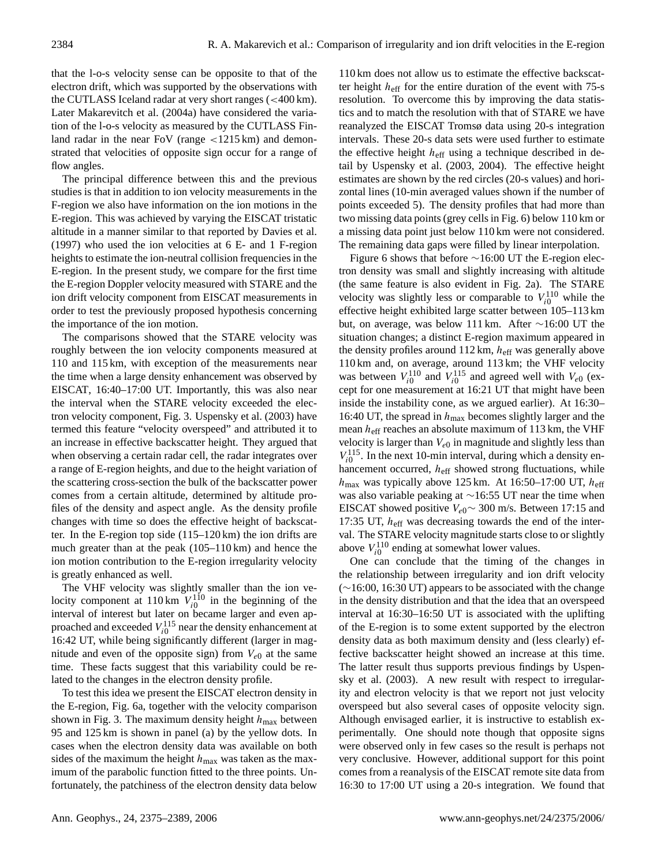that the l-o-s velocity sense can be opposite to that of the electron drift, which was supported by the observations with the CUTLASS Iceland radar at very short ranges (<400 km). Later [Makarevitch et al.](#page-14-9) [\(2004a\)](#page-14-9) have considered the variation of the l-o-s velocity as measured by the CUTLASS Finland radar in the near FoV (range  $\langle 1215 \text{ km} \rangle$  and demonstrated that velocities of opposite sign occur for a range of flow angles.

The principal difference between this and the previous studies is that in addition to ion velocity measurements in the F-region we also have information on the ion motions in the E-region. This was achieved by varying the EISCAT tristatic altitude in a manner similar to that reported by [Davies et al.](#page-13-17) [\(1997\)](#page-13-17) who used the ion velocities at 6 E- and 1 F-region heights to estimate the ion-neutral collision frequencies in the E-region. In the present study, we compare for the first time the E-region Doppler velocity measured with STARE and the ion drift velocity component from EISCAT measurements in order to test the previously proposed hypothesis concerning the importance of the ion motion.

The comparisons showed that the STARE velocity was roughly between the ion velocity components measured at 110 and 115 km, with exception of the measurements near the time when a large density enhancement was observed by EISCAT, 16:40–17:00 UT. Importantly, this was also near the interval when the STARE velocity exceeded the electron velocity component, Fig. [3.](#page-5-0) [Uspensky et al.](#page-14-7) [\(2003\)](#page-14-7) have termed this feature "velocity overspeed" and attributed it to an increase in effective backscatter height. They argued that when observing a certain radar cell, the radar integrates over a range of E-region heights, and due to the height variation of the scattering cross-section the bulk of the backscatter power comes from a certain altitude, determined by altitude profiles of the density and aspect angle. As the density profile changes with time so does the effective height of backscatter. In the E-region top side (115–120 km) the ion drifts are much greater than at the peak (105–110 km) and hence the ion motion contribution to the E-region irregularity velocity is greatly enhanced as well.

The VHF velocity was slightly smaller than the ion velocity component at  $110 \text{ km } V_{i0}^{110}$  in the beginning of the interval of interest but later on became larger and even approached and exceeded  $V_{i0}^{115}$  near the density enhancement at 16:42 UT, while being significantly different (larger in magnitude and even of the opposite sign) from  $V_{e0}$  at the same time. These facts suggest that this variability could be related to the changes in the electron density profile.

To test this idea we present the EISCAT electron density in the E-region, Fig. [6a](#page-10-0), together with the velocity comparison shown in Fig. [3.](#page-5-0) The maximum density height  $h_{\text{max}}$  between 95 and 125 km is shown in panel (a) by the yellow dots. In cases when the electron density data was available on both sides of the maximum the height  $h_{\text{max}}$  was taken as the maximum of the parabolic function fitted to the three points. Unfortunately, the patchiness of the electron density data below

110 km does not allow us to estimate the effective backscatter height  $h_{\text{eff}}$  for the entire duration of the event with 75-s resolution. To overcome this by improving the data statistics and to match the resolution with that of STARE we have reanalyzed the EISCAT Tromsø data using 20-s integration intervals. These 20-s data sets were used further to estimate the effective height  $h_{\text{eff}}$  using a technique described in detail by [Uspensky et al.](#page-14-7) [\(2003,](#page-14-7) [2004\)](#page-14-18). The effective height estimates are shown by the red circles (20-s values) and horizontal lines (10-min averaged values shown if the number of points exceeded 5). The density profiles that had more than two missing data points (grey cells in Fig. [6\)](#page-10-0) below 110 km or a missing data point just below 110 km were not considered. The remaining data gaps were filled by linear interpolation.

Figure [6](#page-10-0) shows that before ∼16:00 UT the E-region electron density was small and slightly increasing with altitude (the same feature is also evident in Fig. [2a](#page-4-0)). The STARE velocity was slightly less or comparable to  $V_{i0}^{110}$  while the effective height exhibited large scatter between 105–113 km but, on average, was below 111 km. After ∼16:00 UT the situation changes; a distinct E-region maximum appeared in the density profiles around  $112 \text{ km}$ ,  $h_{\text{eff}}$  was generally above 110 km and, on average, around 113 km; the VHF velocity was between  $V_{i0}^{110}$  and  $V_{i0}^{115}$  and agreed well with  $V_{e0}$  (except for one measurement at 16:21 UT that might have been inside the instability cone, as we argued earlier). At 16:30– 16:40 UT, the spread in  $h_{\text{max}}$  becomes slightly larger and the mean  $h_{\text{eff}}$  reaches an absolute maximum of 113 km, the VHF velocity is larger than  $V_{e0}$  in magnitude and slightly less than  $V_{i0}^{115}$ . In the next 10-min interval, during which a density enhancement occurred,  $h_{\text{eff}}$  showed strong fluctuations, while  $h_{\text{max}}$  was typically above 125 km. At 16:50-17:00 UT,  $h_{\text{eff}}$ was also variable peaking at ∼16:55 UT near the time when EISCAT showed positive  $V_{e0}$ ~ 300 m/s. Between 17:15 and 17:35 UT,  $h_{\text{eff}}$  was decreasing towards the end of the interval. The STARE velocity magnitude starts close to or slightly above  $V_{i0}^{110}$  ending at somewhat lower values.

One can conclude that the timing of the changes in the relationship between irregularity and ion drift velocity (∼16:00, 16:30 UT) appears to be associated with the change in the density distribution and that the idea that an overspeed interval at 16:30–16:50 UT is associated with the uplifting of the E-region is to some extent supported by the electron density data as both maximum density and (less clearly) effective backscatter height showed an increase at this time. The latter result thus supports previous findings by [Uspen](#page-14-7)[sky et al.](#page-14-7) [\(2003\)](#page-14-7). A new result with respect to irregularity and electron velocity is that we report not just velocity overspeed but also several cases of opposite velocity sign. Although envisaged earlier, it is instructive to establish experimentally. One should note though that opposite signs were observed only in few cases so the result is perhaps not very conclusive. However, additional support for this point comes from a reanalysis of the EISCAT remote site data from 16:30 to 17:00 UT using a 20-s integration. We found that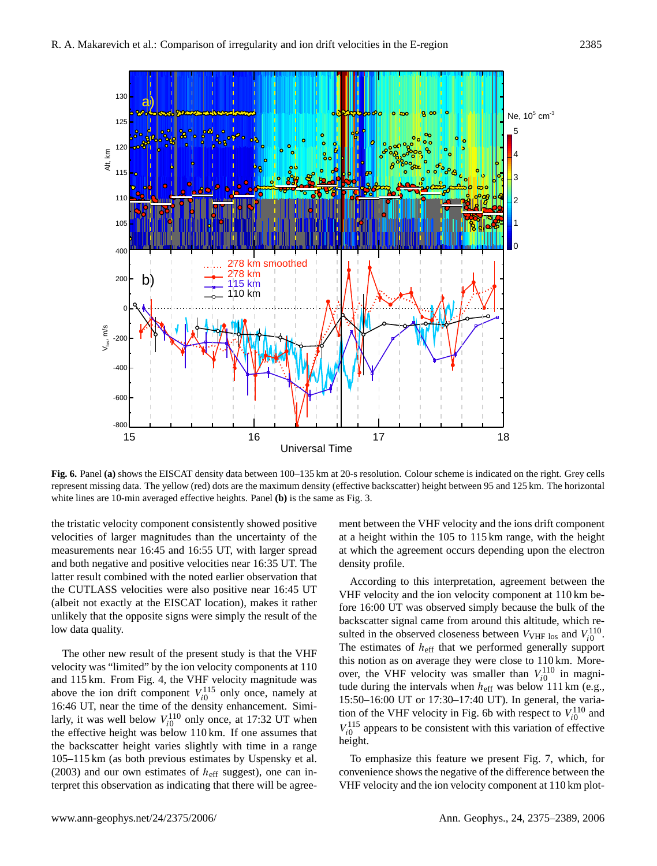

<span id="page-10-0"></span>**Fig. 6.** Panel **(a)** shows the EISCAT density data between 100–135 km at 20-s resolution. Colour scheme is indicated on the right. Grey cells represent missing data. The yellow (red) dots are the maximum density (effective backscatter) height between 95 and 125 km. The horizontal white lines are 10-min averaged effective heights. Panel **(b)** is the same as Fig. [3.](#page-5-0)

the tristatic velocity component consistently showed positive velocities of larger magnitudes than the uncertainty of the measurements near 16:45 and 16:55 UT, with larger spread and both negative and positive velocities near 16:35 UT. The latter result combined with the noted earlier observation that the CUTLASS velocities were also positive near 16:45 UT (albeit not exactly at the EISCAT location), makes it rather unlikely that the opposite signs were simply the result of the low data quality.

The other new result of the present study is that the VHF velocity was "limited" by the ion velocity components at 110 and 115 km. From Fig. [4,](#page-6-0) the VHF velocity magnitude was above the ion drift component  $V_{i0}^{115}$  only once, namely at 16:46 UT, near the time of the density enhancement. Similarly, it was well below  $V_{i0}^{110}$  only once, at 17:32 UT when the effective height was below 110 km. If one assumes that the backscatter height varies slightly with time in a range 105–115 km (as both previous estimates by [Uspensky et al.](#page-14-7) [\(2003\)](#page-14-7) and our own estimates of  $h<sub>eff</sub>$  suggest), one can interpret this observation as indicating that there will be agreement between the VHF velocity and the ions drift component at a height within the 105 to 115 km range, with the height at which the agreement occurs depending upon the electron density profile.

According to this interpretation, agreement between the VHF velocity and the ion velocity component at 110 km before 16:00 UT was observed simply because the bulk of the backscatter signal came from around this altitude, which resulted in the observed closeness between  $V_{\text{VHF los}}$  and  $V_{i0}^{110}$ . The estimates of  $h_{\text{eff}}$  that we performed generally support this notion as on average they were close to 110 km. Moreover, the VHF velocity was smaller than  $V_{i0}^{110}$  in magnitude during the intervals when  $h_{\text{eff}}$  was below 111 km (e.g., 15:50–16:00 UT or 17:30–17:40 UT). In general, the varia-tion of the VHF velocity in Fig. [6b](#page-10-0) with respect to  $V_{i0}^{110}$  and  $V_{i0}^{115}$  appears to be consistent with this variation of effective height.

To emphasize this feature we present Fig. [7,](#page-11-0) which, for convenience shows the negative of the difference between the VHF velocity and the ion velocity component at 110 km plot-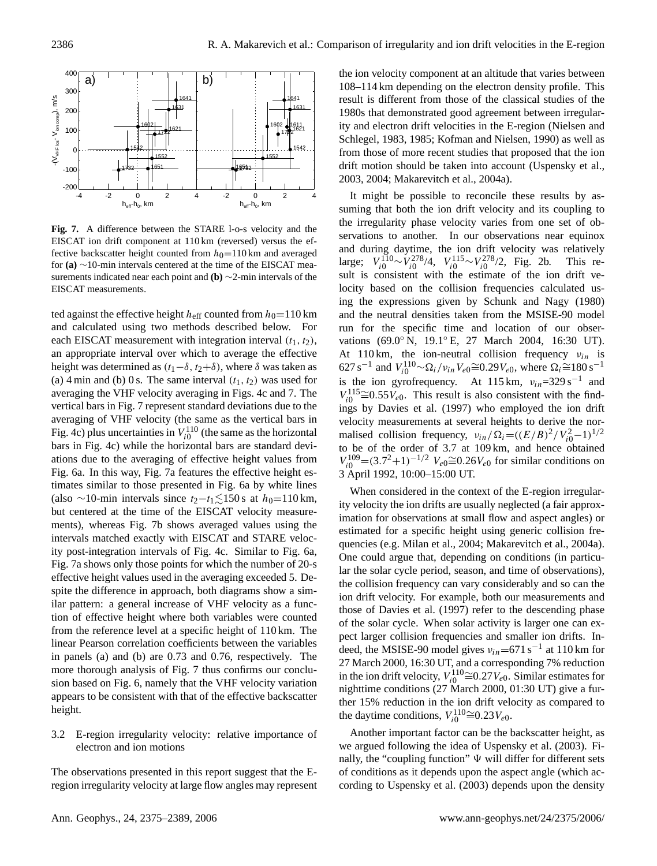

<span id="page-11-0"></span>**Fig. 7.** A difference between the STARE l-o-s velocity and the EISCAT ion drift component at 110 km (reversed) versus the effective backscatter height counted from  $h_0=110$  km and averaged for **(a)** ∼10-min intervals centered at the time of the EISCAT measurements indicated near each point and **(b)** ∼2-min intervals of the EISCAT measurements.

ted against the effective height  $h_{\text{eff}}$  counted from  $h_0=110$  km and calculated using two methods described below. For each EISCAT measurement with integration interval  $(t_1, t_2)$ , an appropriate interval over which to average the effective height was determined as  $(t_1-\delta, t_2+\delta)$ , where  $\delta$  was taken as (a) 4 min and (b) 0 s. The same interval  $(t_1, t_2)$  was used for averaging the VHF velocity averaging in Figs. [4c](#page-6-0) and [7.](#page-11-0) The vertical bars in Fig. [7](#page-11-0) represent standard deviations due to the averaging of VHF velocity (the same as the vertical bars in Fig. [4c](#page-6-0)) plus uncertainties in  $V_{i0}^{110}$  (the same as the horizontal bars in Fig. [4c](#page-6-0)) while the horizontal bars are standard deviations due to the averaging of effective height values from Fig. [6a](#page-10-0). In this way, Fig. [7a](#page-11-0) features the effective height estimates similar to those presented in Fig. [6a](#page-10-0) by white lines (also ∼10-min intervals since  $t_2-t_1 \lesssim 150$  s at  $h_0=110$  km, but centered at the time of the EISCAT velocity measurements), whereas Fig. [7b](#page-11-0) shows averaged values using the intervals matched exactly with EISCAT and STARE velocity post-integration intervals of Fig. [4c](#page-6-0). Similar to Fig. [6a](#page-10-0), Fig. [7a](#page-11-0) shows only those points for which the number of 20-s effective height values used in the averaging exceeded 5. Despite the difference in approach, both diagrams show a similar pattern: a general increase of VHF velocity as a function of effective height where both variables were counted from the reference level at a specific height of 110 km. The linear Pearson correlation coefficients between the variables in panels (a) and (b) are 0.73 and 0.76, respectively. The more thorough analysis of Fig. [7](#page-11-0) thus confirms our conclusion based on Fig. [6,](#page-10-0) namely that the VHF velocity variation appears to be consistent with that of the effective backscatter height.

# 3.2 E-region irregularity velocity: relative importance of electron and ion motions

The observations presented in this report suggest that the Eregion irregularity velocity at large flow angles may represent the ion velocity component at an altitude that varies between 108–114 km depending on the electron density profile. This result is different from those of the classical studies of the 1980s that demonstrated good agreement between irregularity and electron drift velocities in the E-region [\(Nielsen and](#page-14-25) [Schlegel,](#page-14-25) [1983,](#page-14-25) [1985;](#page-14-2) [Kofman and Nielsen,](#page-13-13) [1990\)](#page-13-13) as well as from those of more recent studies that proposed that the ion drift motion should be taken into account [\(Uspensky et al.,](#page-14-7) [2003,](#page-14-7) [2004;](#page-14-18) [Makarevitch et al.,](#page-14-9) [2004a\)](#page-14-9).

It might be possible to reconcile these results by assuming that both the ion drift velocity and its coupling to the irregularity phase velocity varies from one set of observations to another. In our observations near equinox and during daytime, the ion drift velocity was relatively large;  $V_{i0}^{110} \sim V_{i0}^{278}/4$ ,  $V_{i0}^{115} \sim V_{i0}^{278}/2$ , Fig. [2b](#page-4-0). This result is consistent with the estimate of the ion drift velocity based on the collision frequencies calculated using the expressions given by [Schunk and Nagy](#page-14-26) [\(1980\)](#page-14-26) and the neutral densities taken from the MSISE-90 model run for the specific time and location of our observations (69.0◦ N, 19.1◦ E, 27 March 2004, 16:30 UT). At 110 km, the ion-neutral collision frequency  $v_{in}$  is 627 s<sup>-1</sup> and  $V_{i0}^{110} \sim \Omega_i / v_{in} V_{e0} \cong 0.29 V_{e0}$ , where  $\Omega_i \cong 180$  s<sup>-1</sup> is the ion gyrofrequency. At 115 km,  $v_{in}$ =329 s<sup>-1</sup> and  $V_{i0}^{115} \cong 0.55 V_{e0}$ . This result is also consistent with the findings by [Davies et al.](#page-13-17) [\(1997\)](#page-13-17) who employed the ion drift velocity measurements at several heights to derive the normalised collision frequency,  $v_{in}/\Omega_i = ((E/B)^2/V_{i0}^2-1)^{1/2}$ to be of the order of 3.7 at 109 km, and hence obtained  $V_{i0}^{109}$  = (3.7<sup>2</sup>+1)<sup>-1/2</sup>  $V_{e0}$   $\cong$  0.26 $V_{e0}$  for similar conditions on 3 April 1992, 10:00–15:00 UT.

When considered in the context of the E-region irregularity velocity the ion drifts are usually neglected (a fair approximation for observations at small flow and aspect angles) or estimated for a specific height using generic collision frequencies (e.g. [Milan et al.,](#page-14-10) [2004;](#page-14-10) [Makarevitch et al.,](#page-14-9) [2004a\)](#page-14-9). One could argue that, depending on conditions (in particular the solar cycle period, season, and time of observations), the collision frequency can vary considerably and so can the ion drift velocity. For example, both our measurements and those of [Davies et al.](#page-13-17) [\(1997\)](#page-13-17) refer to the descending phase of the solar cycle. When solar activity is larger one can expect larger collision frequencies and smaller ion drifts. Indeed, the MSISE-90 model gives  $v_{in}$ =671 s<sup>-1</sup> at 110 km for 27 March 2000, 16:30 UT, and a corresponding 7% reduction in the ion drift velocity,  $V_{i0}^{110} \cong 0.27 V_{e0}$ . Similar estimates for nighttime conditions (27 March 2000, 01:30 UT) give a further 15% reduction in the ion drift velocity as compared to the daytime conditions,  $V_{i0}^{110} \cong 0.23 V_{e0}$ .

Another important factor can be the backscatter height, as we argued following the idea of [Uspensky et al.](#page-14-7) [\(2003\)](#page-14-7). Finally, the "coupling function"  $\Psi$  will differ for different sets of conditions as it depends upon the aspect angle (which according to [Uspensky et al.](#page-14-7) [\(2003\)](#page-14-7) depends upon the density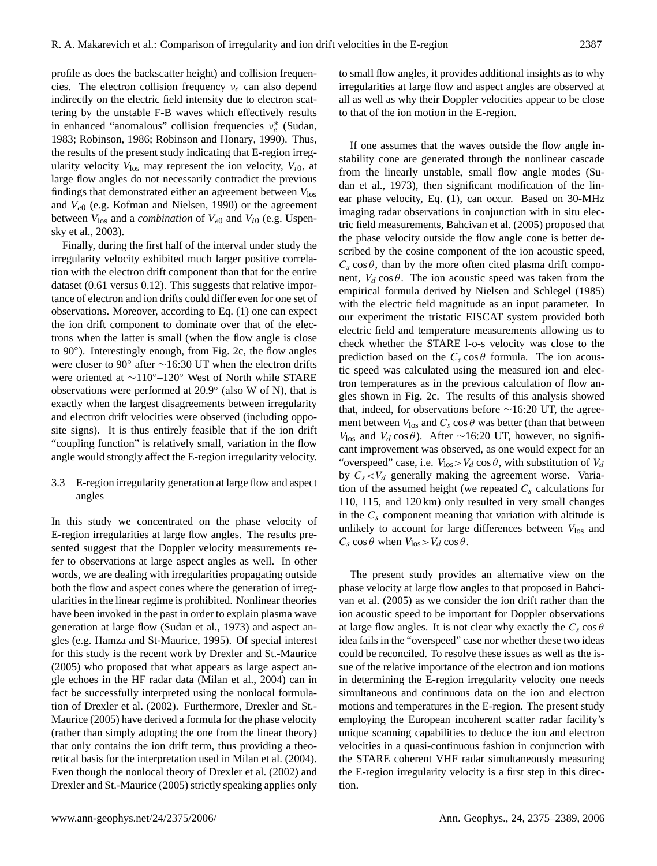profile as does the backscatter height) and collision frequencies. The electron collision frequency  $v_e$  can also depend indirectly on the electric field intensity due to electron scattering by the unstable F-B waves which effectively results in enhanced "anomalous" collision frequencies  $v_e^*$  [\(Sudan,](#page-14-27) [1983;](#page-14-27) [Robinson,](#page-14-28) [1986;](#page-14-28) [Robinson and Honary,](#page-14-29) [1990\)](#page-14-29). Thus, the results of the present study indicating that E-region irregularity velocity  $V_{\text{los}}$  may represent the ion velocity,  $V_{i0}$ , at large flow angles do not necessarily contradict the previous findings that demonstrated either an agreement between *V*los and *V*e<sup>0</sup> (e.g. [Kofman and Nielsen,](#page-13-13) [1990\)](#page-13-13) or the agreement between  $V_{\text{los}}$  and a *combination* of  $V_{e0}$  and  $V_{i0}$  (e.g. [Uspen](#page-14-7)[sky et al.,](#page-14-7) [2003\)](#page-14-7).

Finally, during the first half of the interval under study the irregularity velocity exhibited much larger positive correlation with the electron drift component than that for the entire dataset (0.61 versus 0.12). This suggests that relative importance of electron and ion drifts could differ even for one set of observations. Moreover, according to Eq. [\(1\)](#page-8-1) one can expect the ion drift component to dominate over that of the electrons when the latter is small (when the flow angle is close to 90◦ ). Interestingly enough, from Fig. [2c](#page-4-0), the flow angles were closer to 90° after ~16:30 UT when the electron drifts were oriented at ∼110◦–120◦ West of North while STARE observations were performed at 20.9◦ (also W of N), that is exactly when the largest disagreements between irregularity and electron drift velocities were observed (including opposite signs). It is thus entirely feasible that if the ion drift "coupling function" is relatively small, variation in the flow angle would strongly affect the E-region irregularity velocity.

3.3 E-region irregularity generation at large flow and aspect angles

In this study we concentrated on the phase velocity of E-region irregularities at large flow angles. The results presented suggest that the Doppler velocity measurements refer to observations at large aspect angles as well. In other words, we are dealing with irregularities propagating outside both the flow and aspect cones where the generation of irregularities in the linear regime is prohibited. Nonlinear theories have been invoked in the past in order to explain plasma wave generation at large flow [\(Sudan et al.,](#page-14-0) [1973\)](#page-14-0) and aspect angles (e.g. [Hamza and St-Maurice,](#page-13-18) [1995\)](#page-13-18). Of special interest for this study is the recent work by [Drexler and St.-Maurice](#page-13-19) [\(2005\)](#page-13-19) who proposed that what appears as large aspect angle echoes in the HF radar data [\(Milan et al.,](#page-14-10) [2004\)](#page-14-10) can in fact be successfully interpreted using the nonlocal formulation of [Drexler et al.](#page-13-20) [\(2002\)](#page-13-20). Furthermore, [Drexler and St.-](#page-13-19) [Maurice](#page-13-19) [\(2005\)](#page-13-19) have derived a formula for the phase velocity (rather than simply adopting the one from the linear theory) that only contains the ion drift term, thus providing a theoretical basis for the interpretation used in [Milan et al.](#page-14-10) [\(2004\)](#page-14-10). Even though the nonlocal theory of [Drexler et al.](#page-13-20) [\(2002\)](#page-13-20) and [Drexler and St.-Maurice](#page-13-19) [\(2005\)](#page-13-19) strictly speaking applies only to small flow angles, it provides additional insights as to why irregularities at large flow and aspect angles are observed at all as well as why their Doppler velocities appear to be close to that of the ion motion in the E-region.

If one assumes that the waves outside the flow angle instability cone are generated through the nonlinear cascade from the linearly unstable, small flow angle modes [\(Su](#page-14-0)[dan et al.,](#page-14-0) [1973\)](#page-14-0), then significant modification of the linear phase velocity, Eq. [\(1\)](#page-8-1), can occur. Based on 30-MHz imaging radar observations in conjunction with in situ electric field measurements, [Bahcivan et al.](#page-13-21) [\(2005\)](#page-13-21) proposed that the phase velocity outside the flow angle cone is better described by the cosine component of the ion acoustic speed,  $C_s \cos \theta$ , than by the more often cited plasma drift component,  $V_d \cos \theta$ . The ion acoustic speed was taken from the empirical formula derived by [Nielsen and Schlegel](#page-14-2) [\(1985\)](#page-14-2) with the electric field magnitude as an input parameter. In our experiment the tristatic EISCAT system provided both electric field and temperature measurements allowing us to check whether the STARE l-o-s velocity was close to the prediction based on the  $C_s \cos \theta$  formula. The ion acoustic speed was calculated using the measured ion and electron temperatures as in the previous calculation of flow angles shown in Fig. [2c](#page-4-0). The results of this analysis showed that, indeed, for observations before ∼16:20 UT, the agreement between  $V_{\text{los}}$  and  $C_s \cos \theta$  was better (than that between  $V<sub>los</sub>$  and  $V<sub>d</sub> cos θ$ ). After ∼16:20 UT, however, no significant improvement was observed, as one would expect for an "overspeed" case, i.e.  $V_{\text{los}} > V_d \cos \theta$ , with substitution of  $V_d$ by  $C_s < V_d$  generally making the agreement worse. Variation of the assumed height (we repeated  $C_s$  calculations for 110, 115, and 120 km) only resulted in very small changes in the  $C_s$  component meaning that variation with altitude is unlikely to account for large differences between  $V_{\text{los}}$  and  $C_s \cos \theta$  when  $V_{\text{los}} > V_d \cos \theta$ .

The present study provides an alternative view on the phase velocity at large flow angles to that proposed in [Bahci](#page-13-21)[van et al.](#page-13-21) [\(2005\)](#page-13-21) as we consider the ion drift rather than the ion acoustic speed to be important for Doppler observations at large flow angles. It is not clear why exactly the  $C_s \cos \theta$ idea fails in the "overspeed" case nor whether these two ideas could be reconciled. To resolve these issues as well as the issue of the relative importance of the electron and ion motions in determining the E-region irregularity velocity one needs simultaneous and continuous data on the ion and electron motions and temperatures in the E-region. The present study employing the European incoherent scatter radar facility's unique scanning capabilities to deduce the ion and electron velocities in a quasi-continuous fashion in conjunction with the STARE coherent VHF radar simultaneously measuring the E-region irregularity velocity is a first step in this direction.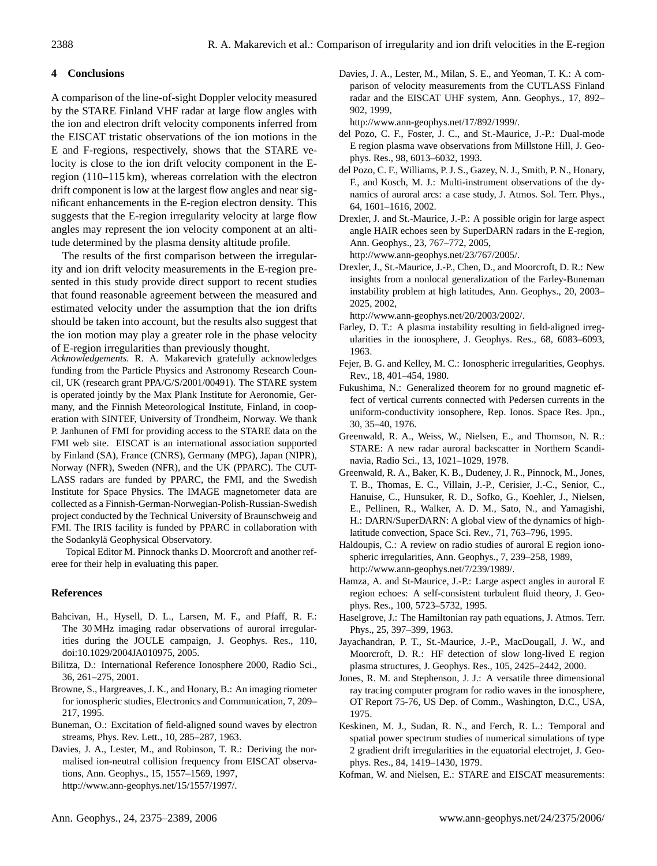# **4 Conclusions**

A comparison of the line-of-sight Doppler velocity measured by the STARE Finland VHF radar at large flow angles with the ion and electron drift velocity components inferred from the EISCAT tristatic observations of the ion motions in the E and F-regions, respectively, shows that the STARE velocity is close to the ion drift velocity component in the Eregion (110–115 km), whereas correlation with the electron drift component is low at the largest flow angles and near significant enhancements in the E-region electron density. This suggests that the E-region irregularity velocity at large flow angles may represent the ion velocity component at an altitude determined by the plasma density altitude profile.

The results of the first comparison between the irregularity and ion drift velocity measurements in the E-region presented in this study provide direct support to recent studies that found reasonable agreement between the measured and estimated velocity under the assumption that the ion drifts should be taken into account, but the results also suggest that the ion motion may play a greater role in the phase velocity of E-region irregularities than previously thought.

*Acknowledgements.* R. A. Makarevich gratefully acknowledges funding from the Particle Physics and Astronomy Research Council, UK (research grant PPA/G/S/2001/00491). The STARE system is operated jointly by the Max Plank Institute for Aeronomie, Germany, and the Finnish Meteorological Institute, Finland, in cooperation with SINTEF, University of Trondheim, Norway. We thank P. Janhunen of FMI for providing access to the STARE data on the FMI web site. EISCAT is an international association supported by Finland (SA), France (CNRS), Germany (MPG), Japan (NIPR), Norway (NFR), Sweden (NFR), and the UK (PPARC). The CUT-LASS radars are funded by PPARC, the FMI, and the Swedish Institute for Space Physics. The IMAGE magnetometer data are collected as a Finnish-German-Norwegian-Polish-Russian-Swedish project conducted by the Technical University of Braunschweig and FMI. The IRIS facility is funded by PPARC in collaboration with the Sodankylä Geophysical Observatory.

Topical Editor M. Pinnock thanks D. Moorcroft and another referee for their help in evaluating this paper.

# **References**

- <span id="page-13-21"></span>Bahcivan, H., Hysell, D. L., Larsen, M. F., and Pfaff, R. F.: The 30 MHz imaging radar observations of auroral irregularities during the JOULE campaign, J. Geophys. Res., 110, doi:10.1029/2004JA010975, 2005.
- <span id="page-13-16"></span>Bilitza, D.: International Reference Ionosphere 2000, Radio Sci., 36, 261–275, 2001.
- <span id="page-13-10"></span>Browne, S., Hargreaves, J. K., and Honary, B.: An imaging riometer for ionospheric studies, Electronics and Communication, 7, 209– 217, 1995.
- <span id="page-13-1"></span>Buneman, O.: Excitation of field-aligned sound waves by electron streams, Phys. Rev. Lett., 10, 285–287, 1963.
- <span id="page-13-17"></span>Davies, J. A., Lester, M., and Robinson, T. R.: Deriving the normalised ion-neutral collision frequency from EISCAT observations, Ann. Geophys., 15, 1557–1569, 1997, [http://www.ann-geophys.net/15/1557/1997/.](http://www.ann-geophys.net/15/1557/1997/)

<span id="page-13-7"></span>Davies, J. A., Lester, M., Milan, S. E., and Yeoman, T. K.: A comparison of velocity measurements from the CUTLASS Finland radar and the EISCAT UHF system, Ann. Geophys., 17, 892– 902, 1999,

[http://www.ann-geophys.net/17/892/1999/.](http://www.ann-geophys.net/17/892/1999/)

- <span id="page-13-5"></span>del Pozo, C. F., Foster, J. C., and St.-Maurice, J.-P.: Dual-mode E region plasma wave observations from Millstone Hill, J. Geophys. Res., 98, 6013–6032, 1993.
- <span id="page-13-12"></span>del Pozo, C. F., Williams, P. J. S., Gazey, N. J., Smith, P. N., Honary, F., and Kosch, M. J.: Multi-instrument observations of the dynamics of auroral arcs: a case study, J. Atmos. Sol. Terr. Phys., 64, 1601–1616, 2002.
- <span id="page-13-19"></span>Drexler, J. and St.-Maurice, J.-P.: A possible origin for large aspect angle HAIR echoes seen by SuperDARN radars in the E-region, Ann. Geophys., 23, 767–772, 2005, [http://www.ann-geophys.net/23/767/2005/.](http://www.ann-geophys.net/23/767/2005/)
- <span id="page-13-20"></span>Drexler, J., St.-Maurice, J.-P., Chen, D., and Moorcroft, D. R.: New insights from a nonlocal generalization of the Farley-Buneman instability problem at high latitudes, Ann. Geophys., 20, 2003– 2025, 2002,

[http://www.ann-geophys.net/20/2003/2002/.](http://www.ann-geophys.net/20/2003/2002/)

- <span id="page-13-0"></span>Farley, D. T.: A plasma instability resulting in field-aligned irregularities in the ionosphere, J. Geophys. Res., 68, 6083–6093, 1963.
- <span id="page-13-3"></span>Fejer, B. G. and Kelley, M. C.: Ionospheric irregularities, Geophys. Rev., 18, 401–454, 1980.
- <span id="page-13-11"></span>Fukushima, N.: Generalized theorem for no ground magnetic effect of vertical currents connected with Pedersen currents in the uniform-conductivity ionsophere, Rep. Ionos. Space Res. Jpn., 30, 35–40, 1976.
- <span id="page-13-8"></span>Greenwald, R. A., Weiss, W., Nielsen, E., and Thomson, N. R.: STARE: A new radar auroral backscatter in Northern Scandinavia, Radio Sci., 13, 1021–1029, 1978.
- <span id="page-13-9"></span>Greenwald, R. A., Baker, K. B., Dudeney, J. R., Pinnock, M., Jones, T. B., Thomas, E. C., Villain, J.-P., Cerisier, J.-C., Senior, C., Hanuise, C., Hunsuker, R. D., Sofko, G., Koehler, J., Nielsen, E., Pellinen, R., Walker, A. D. M., Sato, N., and Yamagishi, H.: DARN/SuperDARN: A global view of the dynamics of highlatitude convection, Space Sci. Rev., 71, 763–796, 1995.
- <span id="page-13-4"></span>Haldoupis, C.: A review on radio studies of auroral E region ionospheric irregularities, Ann. Geophys., 7, 239–258, 1989, [http://www.ann-geophys.net/7/239/1989/.](http://www.ann-geophys.net/7/239/1989/)
- <span id="page-13-18"></span>Hamza, A. and St-Maurice, J.-P.: Large aspect angles in auroral E region echoes: A self-consistent turbulent fluid theory, J. Geophys. Res., 100, 5723–5732, 1995.
- <span id="page-13-15"></span>Haselgrove, J.: The Hamiltonian ray path equations, J. Atmos. Terr. Phys., 25, 397–399, 1963.
- <span id="page-13-6"></span>Jayachandran, P. T., St.-Maurice, J.-P., MacDougall, J. W., and Moorcroft, D. R.: HF detection of slow long-lived E region plasma structures, J. Geophys. Res., 105, 2425–2442, 2000.
- <span id="page-13-14"></span>Jones, R. M. and Stephenson, J. J.: A versatile three dimensional ray tracing computer program for radio waves in the ionosphere, OT Report 75-76, US Dep. of Comm., Washington, D.C., USA, 1975.
- <span id="page-13-2"></span>Keskinen, M. J., Sudan, R. N., and Ferch, R. L.: Temporal and spatial power spectrum studies of numerical simulations of type 2 gradient drift irregularities in the equatorial electrojet, J. Geophys. Res., 84, 1419–1430, 1979.
- <span id="page-13-13"></span>Kofman, W. and Nielsen, E.: STARE and EISCAT measurements: